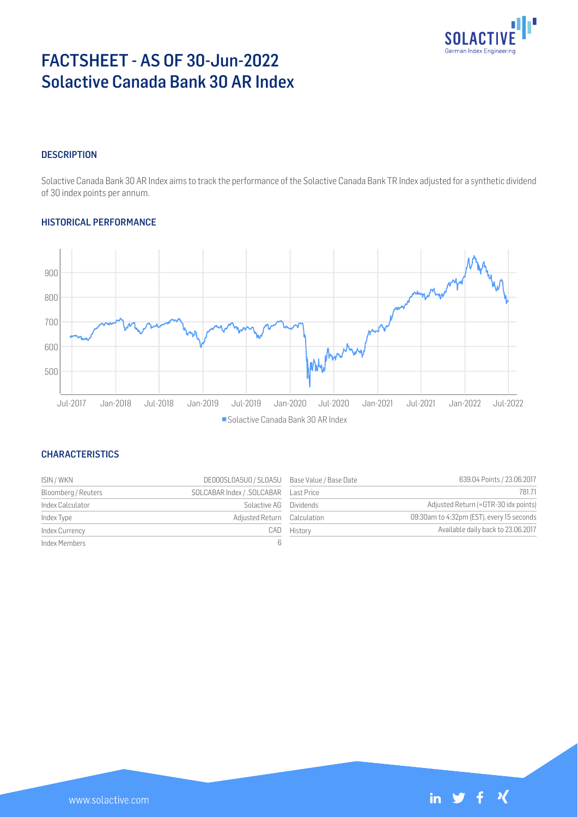

# FACTSHEET - AS OF 30-Jun-2022 Solactive Canada Bank 30 AR Index

### **DESCRIPTION**

Solactive Canada Bank 30 AR Index aims to track the performance of the Solactive Canada Bank TR Index adjusted for a synthetic dividend of 30 index points per annum.

## HISTORICAL PERFORMANCE



## **CHARACTERISTICS**

| ISIN / WKN          | DE000SL0A5U0 / SL0A5U Base Value / Base Date |             | 639.04 Points / 23.06.2017                |
|---------------------|----------------------------------------------|-------------|-------------------------------------------|
| Bloomberg / Reuters |                                              |             | 781.71                                    |
| Index Calculator    | Solactive AG Dividends                       |             | Adjusted Return (=GTR-30 idx points)      |
| Index Type          | Adjusted Return Calculation                  |             | 09:30am to 4:32pm (EST), every 15 seconds |
| Index Currency      |                                              | CAD History | Available daily back to 23.06.2017        |
| Index Members       |                                              |             |                                           |

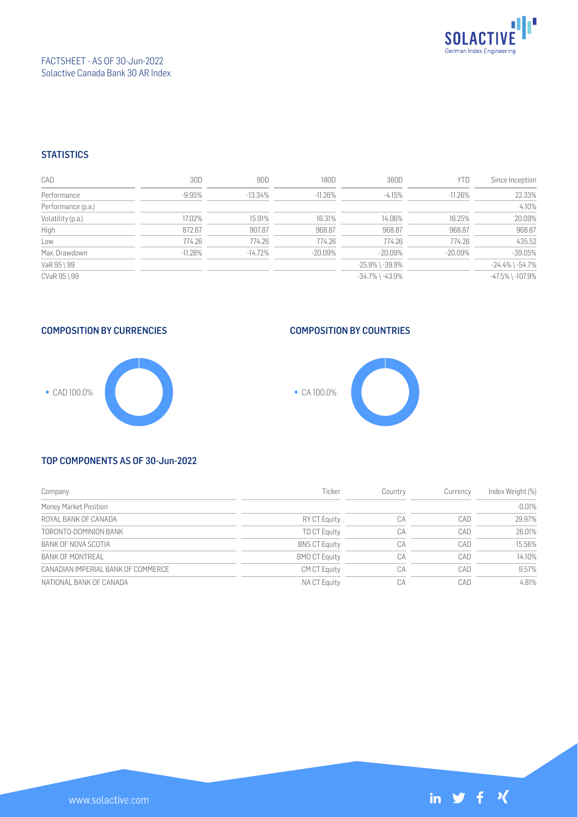

## FACTSHEET - AS OF 30-Jun-2022 Solactive Canada Bank 30 AR Index

#### **STATISTICS**

| CAD                | 30D       | 90D       | 180D       | 360D                  | <b>YTD</b> | Since Inception        |
|--------------------|-----------|-----------|------------|-----------------------|------------|------------------------|
| Performance        | $-9.95%$  | $-13.34%$ | $-11.26%$  | $-4.15%$              | $-11.26%$  | 22.33%                 |
| Performance (p.a.) |           |           |            |                       |            | 4.10%                  |
| Volatility (p.a.)  | 17.02%    | 15.91%    | 16.31%     | 14.06%                | 16.25%     | 20.09%                 |
| High               | 872.67    | 907.87    | 968.87     | 968.87                | 968.87     | 968.87                 |
| Low                | 774.26    | 774.26    | 774.26     | 774.26                | 774.26     | 435.52                 |
| Max. Drawdown      | $-11.28%$ | $-14.72%$ | $-20.09\%$ | $-20.09\%$            | $-20.09\%$ | $-39.05%$              |
| VaR 95 \ 99        |           |           |            | $-25.9\%$ \ $-39.9\%$ |            | $-24.4\%$ \ $-54.7\%$  |
| CVaR 95 \ 99       |           |           |            | $-34.7\%$ \ $-43.9\%$ |            | $-47.5\%$ \ $-107.9\%$ |

COMPOSITION BY CURRENCIES







#### TOP COMPONENTS AS OF 30-Jun-2022

| Company                            | Ticker               | Country | Currency | Index Weight (%) |
|------------------------------------|----------------------|---------|----------|------------------|
| Money Market Position              |                      |         |          | $-0.01%$         |
| ROYAL BANK OF CANADA               | <b>RY CT Equity</b>  | CA      | CAD      | 29.97%           |
| TORONTO-DOMINION BANK              | <b>TD CT Equity</b>  | CA      | CAD      | 26.01%           |
| BANK OF NOVA SCOTIA                | <b>BNS CT Equity</b> | СA      | CAD      | 15.56%           |
| <b>BANK OF MONTREAL</b>            | <b>BMO CT Equity</b> | СA      | CAD      | 14.10%           |
| CANADIAN IMPERIAL BANK OF COMMERCE | <b>CM CT Equity</b>  | CA      | CAD      | 9.57%            |
| NATIONAL BANK OF CANADA            | NA CT Equity         | CA      | CAD      | 4.81%            |